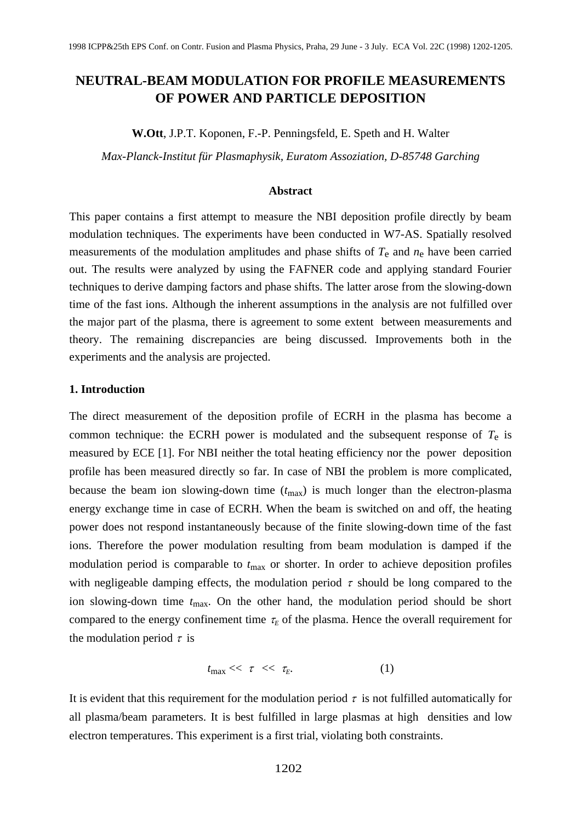# **NEUTRAL-BEAM MODULATION FOR PROFILE MEASUREMENTS OF POWER AND PARTICLE DEPOSITION**

**W.Ott**, J.P.T. Koponen, F.-P. Penningsfeld, E. Speth and H. Walter

*Max-Planck-Institut für Plasmaphysik, Euratom Assoziation, D-85748 Garching*

#### **Abstract**

This paper contains a first attempt to measure the NBI deposition profile directly by beam modulation techniques. The experiments have been conducted in W7-AS. Spatially resolved measurements of the modulation amplitudes and phase shifts of  $T_e$  and  $n_e$  have been carried out. The results were analyzed by using the FAFNER code and applying standard Fourier techniques to derive damping factors and phase shifts. The latter arose from the slowing-down time of the fast ions. Although the inherent assumptions in the analysis are not fulfilled over the major part of the plasma, there is agreement to some extent between measurements and theory. The remaining discrepancies are being discussed. Improvements both in the experiments and the analysis are projected.

## **1. Introduction**

The direct measurement of the deposition profile of ECRH in the plasma has become a common technique: the ECRH power is modulated and the subsequent response of  $T_e$  is measured by ECE [1]. For NBI neither the total heating efficiency nor the power deposition profile has been measured directly so far. In case of NBI the problem is more complicated, because the beam ion slowing-down time  $(t_{\text{max}})$  is much longer than the electron-plasma energy exchange time in case of ECRH. When the beam is switched on and off, the heating power does not respond instantaneously because of the finite slowing-down time of the fast ions. Therefore the power modulation resulting from beam modulation is damped if the modulation period is comparable to  $t_{\text{max}}$  or shorter. In order to achieve deposition profiles with negligeable damping effects, the modulation period  $\tau$  should be long compared to the ion slowing-down time  $t_{\text{max}}$ . On the other hand, the modulation period should be short compared to the energy confinement time  $\tau_E$  of the plasma. Hence the overall requirement for the modulation period  $\tau$  is **NEUTRAL-BEAM MODULATION FOR PROFILE MEASUREMENTS**<br> **SOE TOWER AND PARTICLE DEPOSITION**<br> **W.OIt. JPT. Koponen. I.-P. Penningsield, L. Specih and H. Watter<br>** *Mate Planek-Institut file Planeaphysik, Euretow Association, D-8* 

$$
t_{\max} << \tau << \tau_E. \tag{1}
$$

It is evident that this requirement for the modulation period  $\tau$  is not fulfilled automatically for all plasma/beam parameters. It is best fulfilled in large plasmas at high densities and low electron temperatures. This experiment is a first trial, violating both constraints.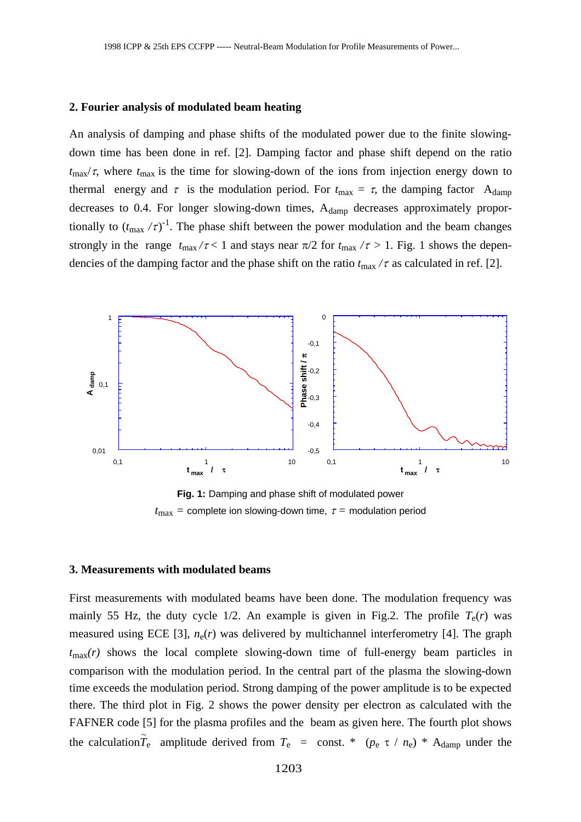#### **2. Fourier analysis of modulated beam heating**

An analysis of damping and phase shifts of the modulated power due to the finite slowingdown time has been done in ref. [2]. Damping factor and phase shift depend on the ratio  $t_{\text{max}}/\tau$ , where  $t_{\text{max}}$  is the time for slowing-down of the ions from injection energy down to thermal energy and  $\tau$  is the modulation period. For  $t_{\text{max}} = \tau$ , the damping factor A<sub>damp</sub> decreases to 0.4. For longer slowing-down times,  $A_{\text{damp}}$  decreases approximately proportionally to  $(t_{\text{max}}/\tau)^{-1}$ . The phase shift between the power modulation and the beam changes strongly in the range  $t_{\text{max}}/\tau$  < 1 and stays near  $\pi/2$  for  $t_{\text{max}}/\tau$  > 1. Fig. 1 shows the dependencies of the damping factor and the phase shift on the ratio  $t_{\text{max}}/\tau$  as calculated in ref. [2].



**Fig. 1:** Damping and phase shift of modulated power  $t_{\text{max}}$  = complete ion slowing-down time,  $\tau$  = modulation period

## **3. Measurements with modulated beams**

First measurements with modulated beams have been done. The modulation frequency was mainly 55 Hz, the duty cycle  $1/2$ . An example is given in Fig.2. The profile  $T_e(r)$  was measured using ECE [3],  $n_e(r)$  was delivered by multichannel interferometry [4]. The graph  $t_{\text{max}}(r)$  shows the local complete slowing-down time of full-energy beam particles in comparison with the modulation period. In the central part of the plasma the slowing-down time exceeds the modulation period. Strong damping of the power amplitude is to be expected there. The third plot in Fig. 2 shows the power density per electron as calculated with the FAFNER code [5] for the plasma profiles and the beam as given here. The fourth plot shows the calculation  $\tilde{T}_e$  amplitude derived from  $T_e$  = const. \*  $(p_e \tau / n_e)$  \* A<sub>damp</sub> under the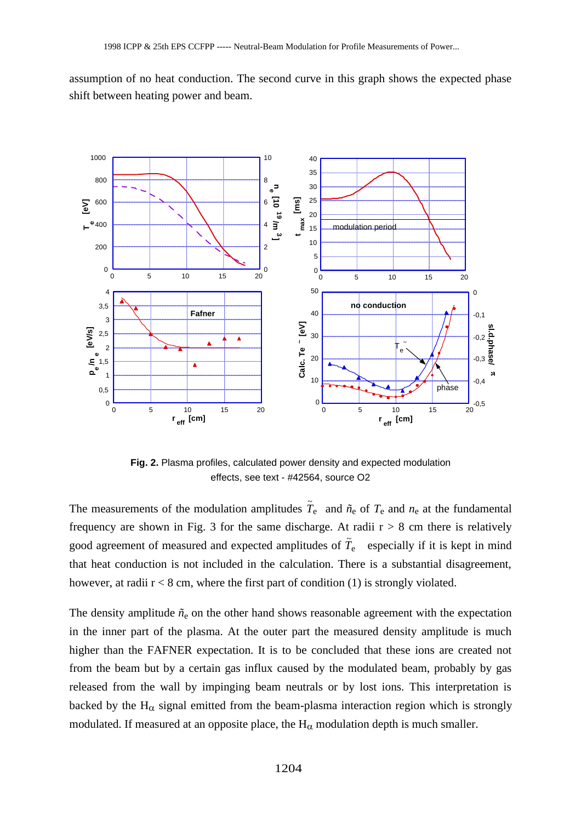assumption of no heat conduction. The second curve in this graph shows the expected phase shift between heating power and beam.



**Fig. 2.** Plasma profiles, calculated power density and expected modulation effects, see text - #42564, source O2

The measurements of the modulation amplitudes  $\tilde{T}_e$  and  $\tilde{n}_e$  of  $T_e$  and  $n_e$  at the fundamental frequency are shown in Fig. 3 for the same discharge. At radii  $r > 8$  cm there is relatively good agreement of measured and expected amplitudes of  $\tilde{T}_e$  especially if it is kept in mind that heat conduction is not included in the calculation. There is a substantial disagreement, however, at radii  $r < 8$  cm, where the first part of condition (1) is strongly violated.

The density amplitude  $\tilde{n}_{e}$  on the other hand shows reasonable agreement with the expectation in the inner part of the plasma. At the outer part the measured density amplitude is much higher than the FAFNER expectation. It is to be concluded that these ions are created not from the beam but by a certain gas influx caused by the modulated beam, probably by gas released from the wall by impinging beam neutrals or by lost ions. This interpretation is backed by the  $H_{\alpha}$  signal emitted from the beam-plasma interaction region which is strongly modulated. If measured at an opposite place, the  $H_{\alpha}$  modulation depth is much smaller.